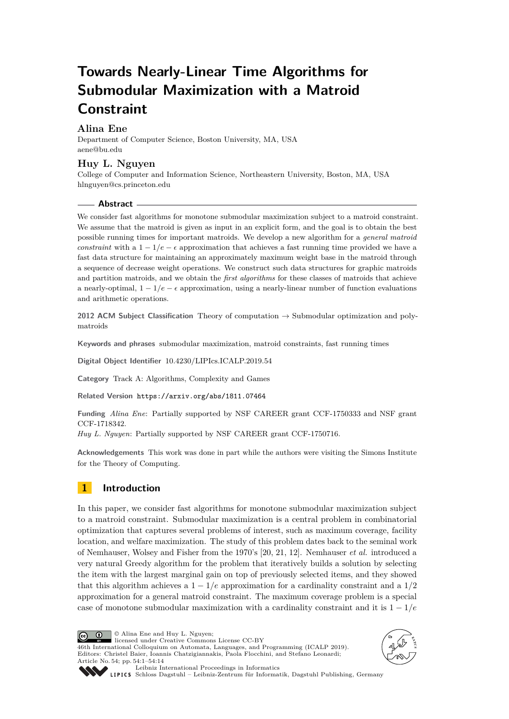# **Towards Nearly-Linear Time Algorithms for Submodular Maximization with a Matroid Constraint**

# **Alina Ene**

Department of Computer Science, Boston University, MA, USA [aene@bu.edu](mailto:aene@bu.edu)

# **Huy L. Nguyen**

College of Computer and Information Science, Northeastern University, Boston, MA, USA [hlnguyen@cs.princeton.edu](mailto:hlnguyen@cs.princeton.edu)

### **Abstract**

We consider fast algorithms for monotone submodular maximization subject to a matroid constraint. We assume that the matroid is given as input in an explicit form, and the goal is to obtain the best possible running times for important matroids. We develop a new algorithm for a *general matroid constraint* with a  $1 - 1/e - \epsilon$  approximation that achieves a fast running time provided we have a fast data structure for maintaining an approximately maximum weight base in the matroid through a sequence of decrease weight operations. We construct such data structures for graphic matroids and partition matroids, and we obtain the *first algorithms* for these classes of matroids that achieve a nearly-optimal,  $1 - 1/e - \epsilon$  approximation, using a nearly-linear number of function evaluations and arithmetic operations.

**2012 ACM Subject Classification** Theory of computation → Submodular optimization and polymatroids

**Keywords and phrases** submodular maximization, matroid constraints, fast running times

**Digital Object Identifier** [10.4230/LIPIcs.ICALP.2019.54](https://doi.org/10.4230/LIPIcs.ICALP.2019.54)

**Category** Track A: Algorithms, Complexity and Games

**Related Version** <https://arxiv.org/abs/1811.07464>

**Funding** *Alina Ene*: Partially supported by NSF CAREER grant CCF-1750333 and NSF grant CCF-1718342.

*Huy L. Nguyen*: Partially supported by NSF CAREER grant CCF-1750716.

**Acknowledgements** This work was done in part while the authors were visiting the Simons Institute for the Theory of Computing.

# **1 Introduction**

In this paper, we consider fast algorithms for monotone submodular maximization subject to a matroid constraint. Submodular maximization is a central problem in combinatorial optimization that captures several problems of interest, such as maximum coverage, facility location, and welfare maximization. The study of this problem dates back to the seminal work of Nemhauser, Wolsey and Fisher from the 1970's [\[20,](#page-12-0) [21,](#page-13-0) [12\]](#page-12-1). Nemhauser *et al.* introduced a very natural Greedy algorithm for the problem that iteratively builds a solution by selecting the item with the largest marginal gain on top of previously selected items, and they showed that this algorithm achieves a 1 − 1*/e* approximation for a cardinality constraint and a 1*/*2 approximation for a general matroid constraint. The maximum coverage problem is a special case of monotone submodular maximization with a cardinality constraint and it is 1 − 1*/e*

© Alina Ene and Huy L. Nguyen;  $\boxed{6}$   $\boxed{0}$ licensed under Creative Commons License CC-BY 46th International Colloquium on Automata, Languages, and Programming (ICALP 2019). Editors: Christel Baier, Ioannis Chatzigiannakis, Paola Flocchini, and Stefano Leonardi; Article No. 54; pp. 54:1–54[:14](#page-13-1)





[Leibniz International Proceedings in Informatics](https://www.dagstuhl.de/lipics/)

[Schloss Dagstuhl – Leibniz-Zentrum für Informatik, Dagstuhl Publishing, Germany](https://www.dagstuhl.de)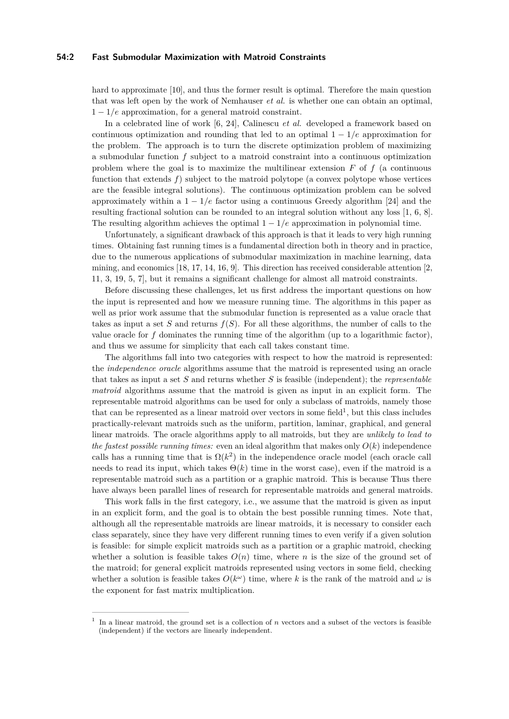#### **54:2 Fast Submodular Maximization with Matroid Constraints**

hard to approximate [\[10\]](#page-12-2), and thus the former result is optimal. Therefore the main question that was left open by the work of Nemhauser *et al.* is whether one can obtain an optimal, 1 − 1*/e* approximation, for a general matroid constraint.

In a celebrated line of work [\[6,](#page-12-3) [24\]](#page-13-2), Calinescu *et al.* developed a framework based on continuous optimization and rounding that led to an optimal  $1 - 1/e$  approximation for the problem. The approach is to turn the discrete optimization problem of maximizing a submodular function *f* subject to a matroid constraint into a continuous optimization problem where the goal is to maximize the multilinear extension  $F$  of  $f$  (a continuous function that extends  $f$ ) subject to the matroid polytope (a convex polytope whose vertices are the feasible integral solutions). The continuous optimization problem can be solved approximately within a  $1 - 1/e$  factor using a continuous Greedy algorithm [\[24\]](#page-13-2) and the resulting fractional solution can be rounded to an integral solution without any loss [\[1,](#page-12-4) [6,](#page-12-3) [8\]](#page-12-5). The resulting algorithm achieves the optimal  $1 - 1/e$  approximation in polynomial time.

Unfortunately, a significant drawback of this approach is that it leads to very high running times. Obtaining fast running times is a fundamental direction both in theory and in practice, due to the numerous applications of submodular maximization in machine learning, data mining, and economics [\[18,](#page-12-6) [17,](#page-12-7) [14,](#page-12-8) [16,](#page-12-9) [9\]](#page-12-10). This direction has received considerable attention [\[2,](#page-12-11) [11,](#page-12-12) [3,](#page-12-13) [19,](#page-12-14) [5,](#page-12-15) [7\]](#page-12-16), but it remains a significant challenge for almost all matroid constraints.

Before discussing these challenges, let us first address the important questions on how the input is represented and how we measure running time. The algorithms in this paper as well as prior work assume that the submodular function is represented as a value oracle that takes as input a set *S* and returns *f*(*S*). For all these algorithms, the number of calls to the value oracle for  $f$  dominates the running time of the algorithm (up to a logarithmic factor), and thus we assume for simplicity that each call takes constant time.

The algorithms fall into two categories with respect to how the matroid is represented: the *independence oracle* algorithms assume that the matroid is represented using an oracle that takes as input a set *S* and returns whether *S* is feasible (independent); the *representable matroid* algorithms assume that the matroid is given as input in an explicit form. The representable matroid algorithms can be used for only a subclass of matroids, namely those that can be represented as a linear matroid over vectors in some field<sup>[1](#page-1-0)</sup>, but this class includes practically-relevant matroids such as the uniform, partition, laminar, graphical, and general linear matroids. The oracle algorithms apply to all matroids, but they are *unlikely to lead to the fastest possible running times:* even an ideal algorithm that makes only  $O(k)$  independence calls has a running time that is  $\Omega(k^2)$  in the independence oracle model (each oracle call needs to read its input, which takes  $\Theta(k)$  time in the worst case), even if the matroid is a representable matroid such as a partition or a graphic matroid. This is because Thus there have always been parallel lines of research for representable matroids and general matroids.

This work falls in the first category, i.e., we assume that the matroid is given as input in an explicit form, and the goal is to obtain the best possible running times. Note that, although all the representable matroids are linear matroids, it is necessary to consider each class separately, since they have very different running times to even verify if a given solution is feasible: for simple explicit matroids such as a partition or a graphic matroid, checking whether a solution is feasible takes  $O(n)$  time, where *n* is the size of the ground set of the matroid; for general explicit matroids represented using vectors in some field, checking whether a solution is feasible takes  $O(k^{\omega})$  time, where k is the rank of the matroid and  $\omega$  is the exponent for fast matrix multiplication.

<span id="page-1-0"></span><sup>1</sup> In a linear matroid, the ground set is a collection of *n* vectors and a subset of the vectors is feasible (independent) if the vectors are linearly independent.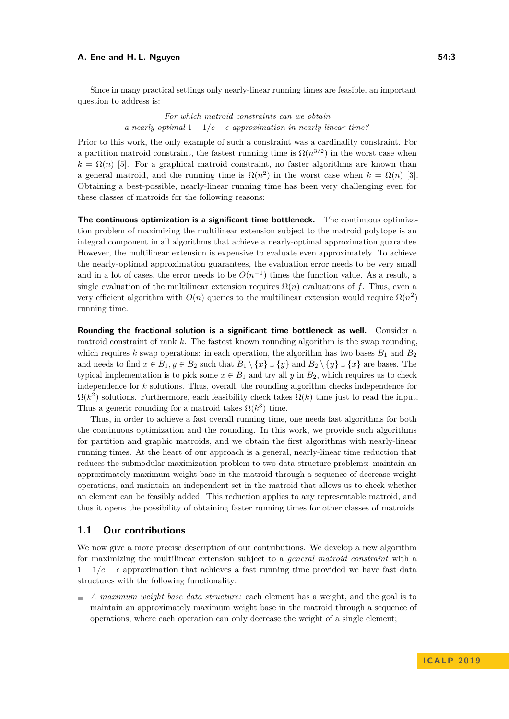#### **A. Ene and H. L. Nguyen 54:3**

Since in many practical settings only nearly-linear running times are feasible, an important question to address is:

> *For which matroid constraints can we obtain a nearly-optimal*  $1 - 1/e - \epsilon$  *approximation in nearly-linear time?*

Prior to this work, the only example of such a constraint was a cardinality constraint. For a partition matroid constraint, the fastest running time is  $\Omega(n^{3/2})$  in the worst case when  $k = \Omega(n)$  [\[5\]](#page-12-15). For a graphical matroid constraint, no faster algorithms are known than a general matroid, and the running time is  $\Omega(n^2)$  in the worst case when  $k = \Omega(n)$  [\[3\]](#page-12-13). Obtaining a best-possible, nearly-linear running time has been very challenging even for these classes of matroids for the following reasons:

**The continuous optimization is a significant time bottleneck.** The continuous optimization problem of maximizing the multilinear extension subject to the matroid polytope is an integral component in all algorithms that achieve a nearly-optimal approximation guarantee. However, the multilinear extension is expensive to evaluate even approximately. To achieve the nearly-optimal approximation guarantees, the evaluation error needs to be very small and in a lot of cases, the error needs to be  $O(n^{-1})$  times the function value. As a result, a single evaluation of the multilinear extension requires  $\Omega(n)$  evaluations of f. Thus, even a very efficient algorithm with  $O(n)$  queries to the multilinear extension would require  $\Omega(n^2)$ running time.

**Rounding the fractional solution is a significant time bottleneck as well.** Consider a matroid constraint of rank *k*. The fastest known rounding algorithm is the swap rounding, which requires *k* swap operations: in each operation, the algorithm has two bases  $B_1$  and  $B_2$ and needs to find  $x \in B_1, y \in B_2$  such that  $B_1 \setminus \{x\} \cup \{y\}$  and  $B_2 \setminus \{y\} \cup \{x\}$  are bases. The typical implementation is to pick some  $x \in B_1$  and try all *y* in  $B_2$ , which requires us to check independence for *k* solutions. Thus, overall, the rounding algorithm checks independence for  $\Omega(k^2)$  solutions. Furthermore, each feasibility check takes  $\Omega(k)$  time just to read the input. Thus a generic rounding for a matroid takes  $\Omega(k^3)$  time.

Thus, in order to achieve a fast overall running time, one needs fast algorithms for both the continuous optimization and the rounding. In this work, we provide such algorithms for partition and graphic matroids, and we obtain the first algorithms with nearly-linear running times. At the heart of our approach is a general, nearly-linear time reduction that reduces the submodular maximization problem to two data structure problems: maintain an approximately maximum weight base in the matroid through a sequence of decrease-weight operations, and maintain an independent set in the matroid that allows us to check whether an element can be feasibly added. This reduction applies to any representable matroid, and thus it opens the possibility of obtaining faster running times for other classes of matroids.

## **1.1 Our contributions**

We now give a more precise description of our contributions. We develop a new algorithm for maximizing the multilinear extension subject to a *general matroid constraint* with a  $1 - 1/e - \epsilon$  approximation that achieves a fast running time provided we have fast data structures with the following functionality:

*A maximum weight base data structure:* each element has a weight, and the goal is to maintain an approximately maximum weight base in the matroid through a sequence of operations, where each operation can only decrease the weight of a single element;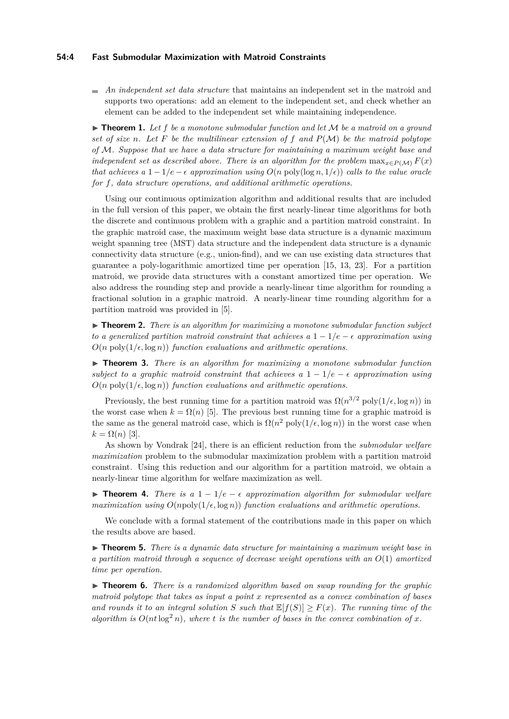#### **54:4 Fast Submodular Maximization with Matroid Constraints**

*An independent set data structure* that maintains an independent set in the matroid and supports two operations: add an element to the independent set, and check whether an element can be added to the independent set while maintaining independence.

<span id="page-3-0"></span> $\triangleright$  **Theorem 1.** Let f be a monotone submodular function and let M be a matroid on a ground *set of size n*. Let F be the multilinear extension of f and  $P(M)$  be the matroid polytope *of* M*. Suppose that we have a data structure for maintaining a maximum weight base and independent set as described above. There is an algorithm for the problem*  $\max_{x \in P(M)} F(x)$ *that achieves a*  $1 - 1/e - \epsilon$  *approximation using*  $O(n \text{ poly}(\log n, 1/e))$  *calls to the value oracle for f, data structure operations, and additional arithmetic operations.*

Using our continuous optimization algorithm and additional results that are included in the full version of this paper, we obtain the first nearly-linear time algorithms for both the discrete and continuous problem with a graphic and a partition matroid constraint. In the graphic matroid case, the maximum weight base data structure is a dynamic maximum weight spanning tree (MST) data structure and the independent data structure is a dynamic connectivity data structure (e.g., union-find), and we can use existing data structures that guarantee a poly-logarithmic amortized time per operation [\[15,](#page-12-17) [13,](#page-12-18) [23\]](#page-13-3). For a partition matroid, we provide data structures with a constant amortized time per operation. We also address the rounding step and provide a nearly-linear time algorithm for rounding a fractional solution in a graphic matroid. A nearly-linear time rounding algorithm for a partition matroid was provided in [\[5\]](#page-12-15).

<span id="page-3-2"></span>▶ **Theorem 2.** *There is an algorithm for maximizing a monotone submodular function subject to a generalized partition matroid constraint that achieves a*  $1 - 1/e - \epsilon$  *approximation using*  $O(n \text{ poly}(1/\epsilon, \log n))$  *function evaluations and arithmetic operations.* 

<span id="page-3-3"></span>▶ **Theorem 3.** *There is an algorithm for maximizing a monotone submodular function subject to a graphic matroid constraint that achieves a*  $1 - 1/e - \epsilon$  *approximation using*  $O(n \text{ poly}(1/\epsilon, \log n))$  *function evaluations and arithmetic operations.* 

Previously, the best running time for a partition matroid was  $\Omega(n^{3/2} \text{ poly}(1/\epsilon, \log n))$  in the worst case when  $k = \Omega(n)$  [\[5\]](#page-12-15). The previous best running time for a graphic matroid is the same as the general matroid case, which is  $\Omega(n^2 \text{ poly}(1/\epsilon, \log n))$  in the worst case when  $k = \Omega(n)$  [\[3\]](#page-12-13).

As shown by Vondrak [\[24\]](#page-13-2), there is an efficient reduction from the *submodular welfare maximization* problem to the submodular maximization problem with a partition matroid constraint. Using this reduction and our algorithm for a partition matroid, we obtain a nearly-linear time algorithm for welfare maximization as well.

**► Theorem 4.** *There is a*  $1 - 1/e - \epsilon$  *approximation algorithm for submodular welfare maximization using*  $O(npoly(1/\epsilon, \log n))$  *function evaluations and arithmetic operations.* 

We conclude with a formal statement of the contributions made in this paper on which the results above are based.

► **Theorem 5.** *There is a dynamic data structure for maintaining a maximum weight base in a partition matroid through a sequence of decrease weight operations with an O*(1) *amortized time per operation.*

<span id="page-3-1"></span>► **Theorem 6.** *There is a randomized algorithm based on swap rounding for the graphic matroid polytope that takes as input a point x represented as a convex combination of bases* and rounds it to an integral solution *S* such that  $\mathbb{E}[f(S)] \geq F(x)$ *. The running time of the algorithm is*  $O(nt \log^2 n)$ *, where t is the number of bases in the convex combination of x.*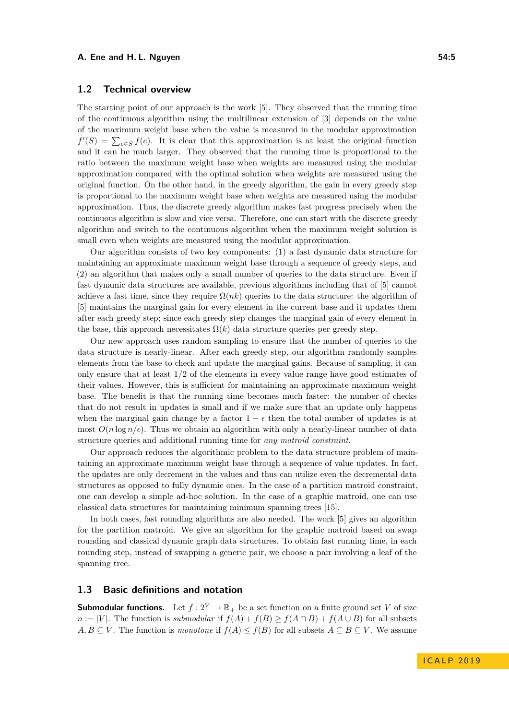#### **A. Ene and H. L. Nguyen 54:5 54:5**

## <span id="page-4-0"></span>**1.2 Technical overview**

The starting point of our approach is the work [\[5\]](#page-12-15). They observed that the running time of the continuous algorithm using the multilinear extension of [\[3\]](#page-12-13) depends on the value of the maximum weight base when the value is measured in the modular approximation  $f'(S) = \sum_{e \in S} f(e)$ . It is clear that this approximation is at least the original function and it can be much larger. They observed that the running time is proportional to the ratio between the maximum weight base when weights are measured using the modular approximation compared with the optimal solution when weights are measured using the original function. On the other hand, in the greedy algorithm, the gain in every greedy step is proportional to the maximum weight base when weights are measured using the modular approximation. Thus, the discrete greedy algorithm makes fast progress precisely when the continuous algorithm is slow and vice versa. Therefore, one can start with the discrete greedy algorithm and switch to the continuous algorithm when the maximum weight solution is small even when weights are measured using the modular approximation.

Our algorithm consists of two key components: (1) a fast dynamic data structure for maintaining an approximate maximum weight base through a sequence of greedy steps, and (2) an algorithm that makes only a small number of queries to the data structure. Even if fast dynamic data structures are available, previous algorithms including that of [\[5\]](#page-12-15) cannot achieve a fast time, since they require  $\Omega(nk)$  queries to the data structure: the algorithm of [\[5\]](#page-12-15) maintains the marginal gain for every element in the current base and it updates them after each greedy step; since each greedy step changes the marginal gain of every element in the base, this approach necessitates  $\Omega(k)$  data structure queries per greedy step.

Our new approach uses random sampling to ensure that the number of queries to the data structure is nearly-linear. After each greedy step, our algorithm randomly samples elements from the base to check and update the marginal gains. Because of sampling, it can only ensure that at least 1*/*2 of the elements in every value range have good estimates of their values. However, this is sufficient for maintaining an approximate maximum weight base. The benefit is that the running time becomes much faster: the number of checks that do not result in updates is small and if we make sure that an update only happens when the marginal gain change by a factor  $1 - \epsilon$  then the total number of updates is at most  $O(n \log n/\epsilon)$ . Thus we obtain an algorithm with only a nearly-linear number of data structure queries and additional running time for *any matroid constraint*.

Our approach reduces the algorithmic problem to the data structure problem of maintaining an approximate maximum weight base through a sequence of value updates. In fact, the updates are only decrement in the values and thus can utilize even the decremental data structures as opposed to fully dynamic ones. In the case of a partition matroid constraint, one can develop a simple ad-hoc solution. In the case of a graphic matroid, one can use classical data structures for maintaining minimum spanning trees [\[15\]](#page-12-17).

In both cases, fast rounding algorithms are also needed. The work [\[5\]](#page-12-15) gives an algorithm for the partition matroid. We give an algorithm for the graphic matroid based on swap rounding and classical dynamic graph data structures. To obtain fast running time, in each rounding step, instead of swapping a generic pair, we choose a pair involving a leaf of the spanning tree.

## **1.3 Basic definitions and notation**

**Submodular functions.** Let  $f: 2^V \to \mathbb{R}_+$  be a set function on a finite ground set *V* of size  $n := |V|$ . The function is *submodular* if  $f(A) + f(B) \ge f(A \cap B) + f(A \cup B)$  for all subsets *A, B*  $\subseteq$  *V*. The function is *monotone* if *f*(*A*)  $\le$  *f*(*B*) for all subsets *A*  $\subseteq$  *B*  $\subseteq$  *V*. We assume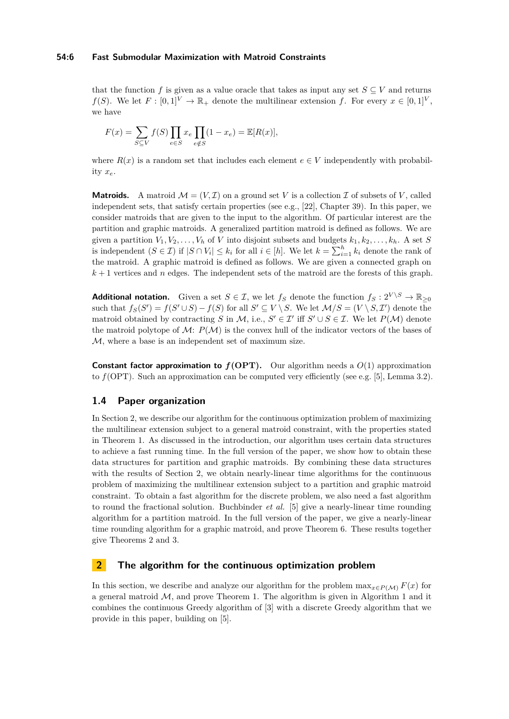#### **54:6 Fast Submodular Maximization with Matroid Constraints**

that the function *f* is given as a value oracle that takes as input any set  $S \subseteq V$  and returns *f*(*S*). We let  $F : [0,1]^V \to \mathbb{R}_+$  denote the multilinear extension *f*. For every  $x \in [0,1]^V$ , we have

$$
F(x) = \sum_{S \subseteq V} f(S) \prod_{e \in S} x_e \prod_{e \notin S} (1 - x_e) = \mathbb{E}[R(x)],
$$

where  $R(x)$  is a random set that includes each element  $e \in V$  independently with probability *xe*.

**Matroids.** A matroid  $\mathcal{M} = (V, \mathcal{I})$  on a ground set V is a collection  $\mathcal{I}$  of subsets of V, called independent sets, that satisfy certain properties (see e.g., [\[22\]](#page-13-4), Chapter 39). In this paper, we consider matroids that are given to the input to the algorithm. Of particular interest are the partition and graphic matroids. A generalized partition matroid is defined as follows. We are given a partition  $V_1, V_2, \ldots, V_h$  of *V* into disjoint subsets and budgets  $k_1, k_2, \ldots, k_h$ . A set *S* is independent  $(S \in \mathcal{I})$  if  $|S \cap V_i| \leq k_i$  for all  $i \in [h]$ . We let  $k = \sum_{i=1}^h k_i$  denote the rank of the matroid. A graphic matroid is defined as follows. We are given a connected graph on  $k+1$  vertices and *n* edges. The independent sets of the matroid are the forests of this graph.

**Additional notation.** Given a set  $S \in \mathcal{I}$ , we let  $f_S$  denote the function  $f_S : 2^{V \setminus S} \to \mathbb{R}_{\geq 0}$ such that  $f_S(S') = f(S' \cup S) - f(S)$  for all  $S' \subseteq V \setminus S$ . We let  $\mathcal{M}/S = (V \setminus S, \mathcal{I}')$  denote the matroid obtained by contracting *S* in *M*, i.e.,  $S' \in \mathcal{I}'$  iff  $S' \cup S \in \mathcal{I}$ . We let  $P(\mathcal{M})$  denote the matroid polytope of  $\mathcal{M}$ :  $P(\mathcal{M})$  is the convex hull of the indicator vectors of the bases of M, where a base is an independent set of maximum size.

**Constant factor approximation to**  $f(OPT)$ **.** Our algorithm needs a  $O(1)$  approximation to *f*(OPT). Such an approximation can be computed very efficiently (see e.g. [\[5\]](#page-12-15), Lemma 3.2).

## **1.4 Paper organization**

In Section [2,](#page-5-0) we describe our algorithm for the continuous optimization problem of maximizing the multilinear extension subject to a general matroid constraint, with the properties stated in Theorem [1.](#page-3-0) As discussed in the introduction, our algorithm uses certain data structures to achieve a fast running time. In the full version of the paper, we show how to obtain these data structures for partition and graphic matroids. By combining these data structures with the results of Section [2,](#page-5-0) we obtain nearly-linear time algorithms for the continuous problem of maximizing the multilinear extension subject to a partition and graphic matroid constraint. To obtain a fast algorithm for the discrete problem, we also need a fast algorithm to round the fractional solution. Buchbinder *et al.* [\[5\]](#page-12-15) give a nearly-linear time rounding algorithm for a partition matroid. In the full version of the paper, we give a nearly-linear time rounding algorithm for a graphic matroid, and prove Theorem [6.](#page-3-1) These results together give Theorems [2](#page-3-2) and [3.](#page-3-3)

# <span id="page-5-0"></span>**2 The algorithm for the continuous optimization problem**

In this section, we describe and analyze our algorithm for the problem  $\max_{x \in P(\mathcal{M})} F(x)$  for a general matroid  $M$ , and prove Theorem [1.](#page-3-0) The algorithm is given in Algorithm [1](#page-6-0) and it combines the continuous Greedy algorithm of [\[3\]](#page-12-13) with a discrete Greedy algorithm that we provide in this paper, building on [\[5\]](#page-12-15).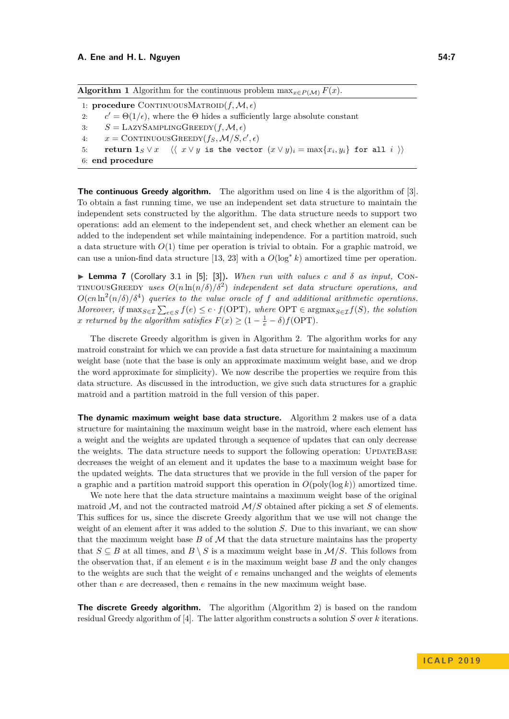<span id="page-6-0"></span>

| <b>Algorithm 1</b> Algorithm for the continuous problem $\max_{x \in P(\mathcal{M})} F(x)$ . |  |
|----------------------------------------------------------------------------------------------|--|
|----------------------------------------------------------------------------------------------|--|

1: **procedure** CONTINUOUSMATROID $(f, \mathcal{M}, \epsilon)$ 2: *c*  $c' = \Theta(1/\epsilon)$ , where the  $\Theta$  hides a sufficiently large absolute constant 3:  $S = \text{LazySAMPLINGGREEDY}(f, \mathcal{M}, \epsilon)$ 4:  $x = \text{CONTINUOUS} \text{GREEDY}(f_S, \mathcal{M}/S, c', \epsilon)$  $5:$  **return**  $\mathbf{1}_S \vee x \quad \langle \langle x \vee y \rangle \text{ is the vector } (x \vee y)_i = \max\{x_i, y_i\}$  for all  $i \rangle \rangle$ 6: **end procedure**

**The continuous Greedy algorithm.** The algorithm used on line [4](#page-6-0) is the algorithm of [\[3\]](#page-12-13). To obtain a fast running time, we use an independent set data structure to maintain the independent sets constructed by the algorithm. The data structure needs to support two operations: add an element to the independent set, and check whether an element can be added to the independent set while maintaining independence. For a partition matroid, such a data structure with  $O(1)$  time per operation is trivial to obtain. For a graphic matroid, we can use a union-find data structure [\[13,](#page-12-18) [23\]](#page-13-3) with a  $O(\log^* k)$  amortized time per operation.

<span id="page-6-1"></span> $\triangleright$  **Lemma 7** (Corollary 3.1 in [\[5\]](#page-12-15); [\[3\]](#page-12-13)). *When run with values c and*  $\delta$  *as input,* CON $t$ <sup>TINUOUSGREEDY</sup> uses  $O(n \ln(n/\delta)/\delta^2)$  *independent set data structure operations, and*  $O(cn \ln^2(n/\delta)/\delta^4)$  *queries to the value oracle of f and additional arithmetic operations.*  $Moreover, if \max_{S \in \mathcal{I}} \sum_{e \in S} f(e) \leq c \cdot f(\text{OPT})$ , where  $\text{OPT} \in \text{argmax}_{S \in \mathcal{I}} f(S)$ , the solution *x returned by the algorithm satisfies*  $F(x) \geq (1 - \frac{1}{e} - \delta) f(\text{OPT})$ *.* 

The discrete Greedy algorithm is given in Algorithm [2.](#page-7-0) The algorithm works for any matroid constraint for which we can provide a fast data structure for maintaining a maximum weight base (note that the base is only an approximate maximum weight base, and we drop the word approximate for simplicity). We now describe the properties we require from this data structure. As discussed in the introduction, we give such data structures for a graphic matroid and a partition matroid in the full version of this paper.

**The dynamic maximum weight base data structure.** Algorithm [2](#page-7-0) makes use of a data structure for maintaining the maximum weight base in the matroid, where each element has a weight and the weights are updated through a sequence of updates that can only decrease the weights. The data structure needs to support the following operation: UPDATEBASE decreases the weight of an element and it updates the base to a maximum weight base for the updated weights. The data structures that we provide in the full version of the paper for a graphic and a partition matroid support this operation in  $O(\text{poly}(\log k))$  amortized time.

We note here that the data structure maintains a maximum weight base of the original matroid  $M$ , and not the contracted matroid  $M/S$  obtained after picking a set  $S$  of elements. This suffices for us, since the discrete Greedy algorithm that we use will not change the weight of an element after it was added to the solution *S*. Due to this invariant, we can show that the maximum weight base  $B$  of  $\mathcal M$  that the data structure maintains has the property that  $S \subseteq B$  at all times, and  $B \setminus S$  is a maximum weight base in  $\mathcal{M}/S$ . This follows from the observation that, if an element *e* is in the maximum weight base *B* and the only changes to the weights are such that the weight of *e* remains unchanged and the weights of elements other than *e* are decreased, then *e* remains in the new maximum weight base.

**The discrete Greedy algorithm.** The algorithm (Algorithm [2\)](#page-7-0) is based on the random residual Greedy algorithm of [\[4\]](#page-12-19). The latter algorithm constructs a solution *S* over *k* iterations.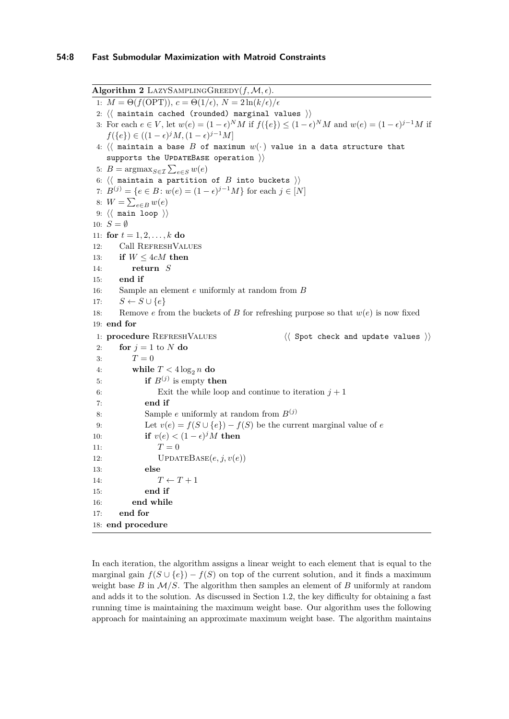<span id="page-7-0"></span>Algorithm 2 LAZYSAMPLINGGREEDY $(f, \mathcal{M}, \epsilon)$ . 1:  $M = \Theta(f(\text{OPT})), c = \Theta(1/\epsilon), N = 2\ln(k/\epsilon)/\epsilon$ 2:  $\langle \langle$  maintain cached (rounded) marginal values  $\rangle$ ) 3: For each  $e \in V$ , let  $w(e) = (1 - \epsilon)^N M$  if  $f(\{e\}) \le (1 - \epsilon)^N M$  and  $w(e) = (1 - \epsilon)^{j-1} M$  if  $f({e}) \in ((1 - \epsilon)^j M, (1 - \epsilon)^{j-1} M]$ 4:  $\langle \langle$  maintain a base *B* of maximum  $w(\cdot)$  value in a data structure that supports the UPDATEBASE operation  $\rangle$ 5:  $B = \operatorname{argmax}_{S \in \mathcal{I}} \sum_{e \in S} w(e)$ 6:  $\langle \langle$  maintain a partition of *B* into buckets  $\rangle$ ) 7:  $B^{(j)} = \{e \in B : w(e) = (1 - \epsilon)^{j-1}M\}$  for each  $j \in [N]$ 8:  $W = \sum_{e \in B} w(e)$ 9:  $\langle\langle$  main loop  $\rangle\rangle$ 10:  $S = \emptyset$ 11: **for**  $t = 1, 2, ..., k$  **do** 12: Call RefreshValues 13: **if** *W* ≤ 4*cM* **then** 14: **return** *S* 15: **end if** 16: Sample an element *e* uniformly at random from *B* 17:  $S \leftarrow S \cup \{e\}$ 18: Remove *e* from the buckets of *B* for refreshing purpose so that  $w(e)$  is now fixed 19: **end for** 1: **procedure** REFRESHVALUES  $\langle\langle$  Spot check and update values  $\rangle$ 2: **for**  $j = 1$  to  $N$  **do** 3:  $T = 0$ 4: **while**  $T < 4 \log_2 n$  **do** 5: **if**  $B^{(j)}$  is empty **then** 6: Exit the while loop and continue to iteration  $j + 1$ 7: **end if** 8: Sample *e* uniformly at random from  $B^{(j)}$ 9: Let  $v(e) = f(S \cup \{e\}) - f(S)$  be the current marginal value of *e* 10: **if**  $v(e) < (1 - \epsilon)^j M$  **then** 11:  $T = 0$ 12: UPDATEBASE $(e, j, v(e))$ 13: **else** 14:  $T \leftarrow T + 1$ 15: **end if** 16: **end while** 17: **end for** 18: **end procedure**

In each iteration, the algorithm assigns a linear weight to each element that is equal to the marginal gain  $f(S \cup \{e\}) - f(S)$  on top of the current solution, and it finds a maximum weight base  $B$  in  $\mathcal{M}/S$ . The algorithm then samples an element of  $B$  uniformly at random and adds it to the solution. As discussed in Section [1.2,](#page-4-0) the key difficulty for obtaining a fast running time is maintaining the maximum weight base. Our algorithm uses the following approach for maintaining an approximate maximum weight base. The algorithm maintains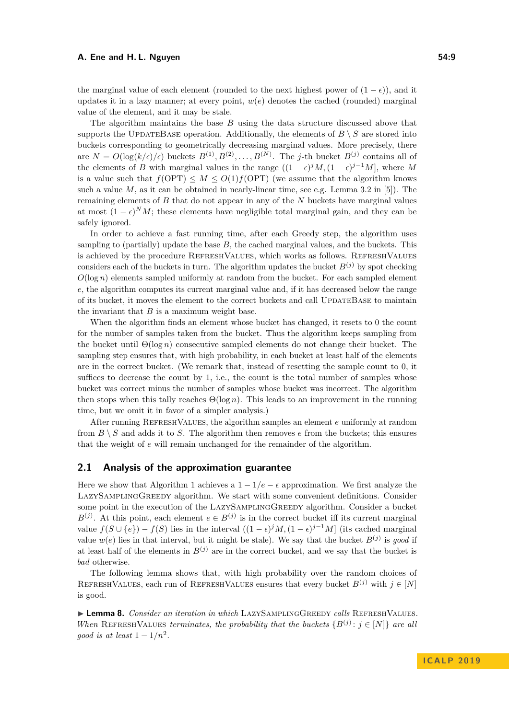#### **A. Ene and H. L. Nguyen 54:9**

the marginal value of each element (rounded to the next highest power of  $(1 - \epsilon)$ ), and it updates it in a lazy manner; at every point,  $w(e)$  denotes the cached (rounded) marginal value of the element, and it may be stale.

The algorithm maintains the base *B* using the data structure discussed above that supports the UPDATEBASE operation. Additionally, the elements of  $B \setminus S$  are stored into buckets corresponding to geometrically decreasing marginal values. More precisely, there are  $N = O(\log(k/\epsilon)/\epsilon)$  buckets  $B^{(1)}, B^{(2)}, \ldots, B^{(N)}$ . The *j*-th bucket  $B^{(j)}$  contains all of the elements of *B* with marginal values in the range  $((1 - \epsilon)^j M, (1 - \epsilon)^{j-1} M]$ , where M is a value such that  $f(OPT) \leq M \leq O(1)f(OPT)$  (we assume that the algorithm knows such a value  $M$ , as it can be obtained in nearly-linear time, see e.g. Lemma 3.2 in [\[5\]](#page-12-15). The remaining elements of *B* that do not appear in any of the *N* buckets have marginal values at most  $(1 - \epsilon)^N M$ ; these elements have negligible total marginal gain, and they can be safely ignored.

In order to achieve a fast running time, after each Greedy step, the algorithm uses sampling to (partially) update the base *B*, the cached marginal values, and the buckets. This is achieved by the procedure RefreshValues, which works as follows. RefreshValues considers each of the buckets in turn. The algorithm updates the bucket  $B^{(j)}$  by spot checking *O*(log *n*) elements sampled uniformly at random from the bucket. For each sampled element *e*, the algorithm computes its current marginal value and, if it has decreased below the range of its bucket, it moves the element to the correct buckets and call UpdateBase to maintain the invariant that *B* is a maximum weight base.

When the algorithm finds an element whose bucket has changed, it resets to 0 the count for the number of samples taken from the bucket. Thus the algorithm keeps sampling from the bucket until  $\Theta(\log n)$  consecutive sampled elements do not change their bucket. The sampling step ensures that, with high probability, in each bucket at least half of the elements are in the correct bucket. (We remark that, instead of resetting the sample count to 0, it suffices to decrease the count by 1, i.e., the count is the total number of samples whose bucket was correct minus the number of samples whose bucket was incorrect. The algorithm then stops when this tally reaches  $\Theta(\log n)$ . This leads to an improvement in the running time, but we omit it in favor of a simpler analysis.)

After running RefreshValues, the algorithm samples an element *e* uniformly at random from  $B \setminus S$  and adds it to *S*. The algorithm then removes *e* from the buckets; this ensures that the weight of *e* will remain unchanged for the remainder of the algorithm.

# **2.1 Analysis of the approximation guarantee**

Here we show that Algorithm [1](#page-6-0) achieves a  $1 - 1/e - \epsilon$  approximation. We first analyze the LazySamplingGreedy algorithm. We start with some convenient definitions. Consider some point in the execution of the LazySamplingGreedy algorithm. Consider a bucket  $B^{(j)}$ . At this point, each element  $e \in B^{(j)}$  is in the correct bucket iff its current marginal value  $f(S \cup \{e\}) - f(S)$  lies in the interval  $((1 - \epsilon)^j M, (1 - \epsilon)^{j-1} M]$  (its cached marginal value  $w(e)$  lies in that interval, but it might be stale). We say that the bucket  $B^{(j)}$  is good if at least half of the elements in  $B^{(j)}$  are in the correct bucket, and we say that the bucket is *bad* otherwise.

The following lemma shows that, with high probability over the random choices of REFRESHVALUES, each run of REFRESHVALUES ensures that every bucket  $B^{(j)}$  with  $j \in [N]$ is good.

▶ **Lemma 8.** *Consider an iteration in which* LAZYSAMPLINGGREEDY *calls* REFRESHVALUES. *When* REFRESHVALUES *terminates, the probability that the buckets*  ${B^{(j)}: j \in [N]}$  *are all good is at least*  $1 - 1/n^2$ .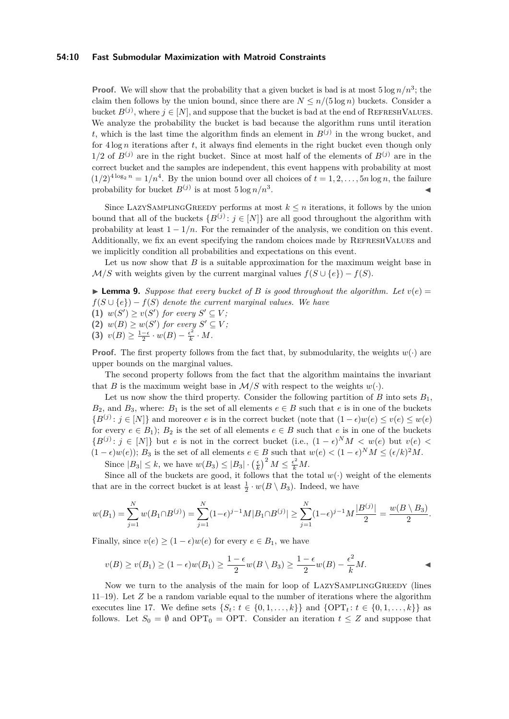#### **54:10 Fast Submodular Maximization with Matroid Constraints**

**Proof.** We will show that the probability that a given bucket is bad is at most  $5 \log n/n^3$ ; the claim then follows by the union bound, since there are  $N \leq n/(5 \log n)$  buckets. Consider a bucket  $B^{(j)}$ , where  $j \in [N]$ , and suppose that the bucket is bad at the end of REFRESHVALUES. We analyze the probability the bucket is bad because the algorithm runs until iteration *t*, which is the last time the algorithm finds an element in  $B^{(j)}$  in the wrong bucket, and for  $4 \log n$  iterations after *t*, it always find elements in the right bucket even though only  $1/2$  of  $B^{(j)}$  are in the right bucket. Since at most half of the elements of  $B^{(j)}$  are in the correct bucket and the samples are independent, this event happens with probability at most  $(1/2)^{4 \log_2 n} = 1/n^4$ . By the union bound over all choices of  $t = 1, 2, \ldots, 5n \log n$ , the failure probability for bucket  $B^{(j)}$  is at most  $5 \log n/n^3$ . John Park Research (1986)

Since LAZYSAMPLINGGREEDY performs at most  $k \leq n$  iterations, it follows by the union bound that all of the buckets  ${B^{(j)}: j \in [N]}$  are all good throughout the algorithm with probability at least  $1 - 1/n$ . For the remainder of the analysis, we condition on this event. Additionally, we fix an event specifying the random choices made by RefreshValues and we implicitly condition all probabilities and expectations on this event.

Let us now show that *B* is a suitable approximation for the maximum weight base in  $\mathcal{M}/S$  with weights given by the current marginal values  $f(S \cup \{e\}) - f(S)$ .

<span id="page-9-0"></span>**Lemma 9.** Suppose that every bucket of B is good throughout the algorithm. Let  $v(e)$  $f(S \cup \{e\}) - f(S)$  *denote the current marginal values. We have* 

(1)  $w(S') \geq v(S')$  for every  $S' \subseteq V$ ; (2)  $w(B) \geq w(S')$  for every  $S' \subseteq V$ ; **(3)**  $v(B) \geq \frac{1-\epsilon}{2} \cdot w(B) - \frac{\epsilon^2}{k}$  $\frac{\epsilon^2}{k} \cdot M$ .

**Proof.** The first property follows from the fact that, by submodularity, the weights  $w(\cdot)$  are upper bounds on the marginal values.

The second property follows from the fact that the algorithm maintains the invariant that *B* is the maximum weight base in  $M/S$  with respect to the weights  $w(.)$ .

Let us now show the third property. Consider the following partition of  $B$  into sets  $B_1$ ,  $B_2$ , and  $B_3$ , where:  $B_1$  is the set of all elements  $e \in B$  such that  $e$  is in one of the buckets  ${B^{(j)}: j \in [N]}$  and moreover *e* is in the correct bucket (note that  $(1 - \epsilon)w(e) ≤ v(e) ≤ w(e)$ for every  $e \in B_1$ ;  $B_2$  is the set of all elements  $e \in B$  such that  $e$  is in one of the buckets  ${B^{(j)}: j \in [N]}$  but *e* is not in the correct bucket (i.e.,  $(1 - \epsilon)^N M < w(e)$  but  $v(e)$  $(1 - \epsilon)w(e)$ ;  $B_3$  is the set of all elements  $e \in B$  such that  $w(e) < (1 - \epsilon)^N M \leq (\epsilon/k)^2 M$ .

Since  $|B_3| \leq k$ , we have  $w(B_3) \leq |B_3| \cdot \left(\frac{\epsilon}{k}\right)^2 M \leq \frac{\epsilon^2}{k} M$ .

Since all of the buckets are good, it follows that the total  $w(\cdot)$  weight of the elements that are in the correct bucket is at least  $\frac{1}{2} \cdot w(B \setminus B_3)$ . Indeed, we have

$$
w(B_1) = \sum_{j=1}^N w(B_1 \cap B^{(j)}) = \sum_{j=1}^N (1 - \epsilon)^{j-1} M |B_1 \cap B^{(j)}| \ge \sum_{j=1}^N (1 - \epsilon)^{j-1} M \frac{|B^{(j)}|}{2} = \frac{w(B \setminus B_3)}{2}.
$$

Finally, since  $v(e) \geq (1 - \epsilon)w(e)$  for every  $e \in B_1$ , we have

$$
v(B) \ge v(B_1) \ge (1 - \epsilon)w(B_1) \ge \frac{1 - \epsilon}{2}w(B \setminus B_3) \ge \frac{1 - \epsilon}{2}w(B) - \frac{\epsilon^2}{k}M.
$$

Now we turn to the analysis of the main for loop of LAZYSAMPLINGGREEDY (lines [11–19\)](#page-6-0). Let *Z* be a random variable equal to the number of iterations where the algorithm executes line [17.](#page-6-0) We define sets  $\{S_t : t \in \{0, 1, ..., k\}\}\$ and  $\{OPT_t : t \in \{0, 1, ..., k\}\}$ as follows. Let  $S_0 = \emptyset$  and OPT<sub>0</sub> = OPT. Consider an iteration  $t \leq Z$  and suppose that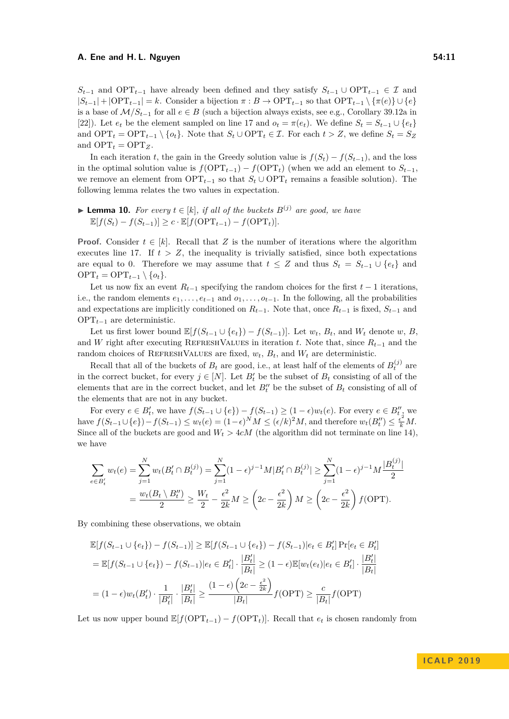#### **A. Ene and H. L. Nguyen 54:11**

 $S_{t-1}$  and OPT<sub>*t*−1</sub> have already been defined and they satisfy  $S_{t-1} \cup \text{OPT}_{t-1} \in \mathcal{I}$  and |*St*−1| + |OPT*t*−1| = *k*. Consider a bijection *π* : *B* → OPT*t*−<sup>1</sup> so that OPT*t*−<sup>1</sup> \ {*π*(*e*)} ∪ {*e*} is a base of  $\mathcal{M}/S_{t-1}$  for all  $e \in B$  (such a bijection always exists, see e.g., Corollary 39.12a in [\[22\]](#page-13-4)). Let  $e_t$  be the element sampled on line [17](#page-6-0) and  $o_t = \pi(e_t)$ . We define  $S_t = S_{t-1} \cup \{e_t\}$ and  $\text{OPT}_t = \text{OPT}_{t-1} \setminus \{o_t\}.$  Note that  $S_t \cup \text{OPT}_t \in \mathcal{I}$ . For each  $t > Z$ , we define  $S_t = S_Z$ and  $OPT_t = OPT_z$ .

In each iteration *t*, the gain in the Greedy solution value is  $f(S_t) - f(S_{t-1})$ , and the loss in the optimal solution value is  $f(OPT_{t-1}) - f(OPT_t)$  (when we add an element to  $S_{t-1}$ , we remove an element from  $OPT_{t-1}$  so that  $S_t \cup OPT_t$  remains a feasible solution). The following lemma relates the two values in expectation.

<span id="page-10-0"></span>▶ Lemma 10. For every 
$$
t \in [k]
$$
, if all of the buckets  $B^{(j)}$  are good, we have  $\mathbb{E}[f(S_t) - f(S_{t-1})] \geq c \cdot \mathbb{E}[f(\text{OPT}_{t-1}) - f(\text{OPT}_t)].$ 

**Proof.** Consider  $t \in [k]$ . Recall that Z is the number of iterations where the algorithm executes line [17.](#page-6-0) If  $t > Z$ , the inequality is trivially satisfied, since both expectations are equal to 0. Therefore we may assume that  $t \leq Z$  and thus  $S_t = S_{t-1} \cup \{e_t\}$  and  $OPT_t = OPT_{t-1} \setminus \{o_t\}.$ 

Let us now fix an event  $R_{t-1}$  specifying the random choices for the first  $t-1$  iterations, i.e., the random elements  $e_1, \ldots, e_{t-1}$  and  $o_1, \ldots, o_{t-1}$ . In the following, all the probabilities and expectations are implicitly conditioned on  $R_{t-1}$ . Note that, once  $R_{t-1}$  is fixed,  $S_{t-1}$  and OPT*t*−<sup>1</sup> are deterministic.

Let us first lower bound  $\mathbb{E}[f(S_{t-1} \cup \{e_t\}) - f(S_{t-1})]$ . Let  $w_t, B_t$ , and  $W_t$  denote  $w, B_t$ and *W* right after executing REFRESHVALUES in iteration *t*. Note that, since  $R_{t-1}$  and the random choices of REFRESHVALUES are fixed,  $w_t$ ,  $B_t$ , and  $W_t$  are deterministic.

Recall that all of the buckets of  $B_t$  are good, i.e., at least half of the elements of  $B_t^{(j)}$  are in the correct bucket, for every  $j \in [N]$ . Let  $B_t'$  be the subset of  $B_t$  consisting of all of the elements that are in the correct bucket, and let  $B_t''$  be the subset of  $B_t$  consisting of all of the elements that are not in any bucket.

For every  $e \in B'_t$ , we have  $f(S_{t-1} \cup \{e\}) - f(S_{t-1}) \geq (1 - \epsilon)w_t(e)$ . For every  $e \in B''_t$ , we have  $f(S_{t-1} \cup \{e\}) - f(S_{t-1}) \le w_t(e) = (1 - \epsilon)^N M \le (\epsilon/k)^2 M$ , and therefore  $w_t(B_t'') \le \frac{\epsilon^2}{k} M$ . Since all of the buckets are good and  $W_t > 4cM$  (the algorithm did not terminate on line [14\)](#page-6-0), we have

$$
\sum_{e \in B'_t} w_t(e) = \sum_{j=1}^N w_t(B'_t \cap B_t^{(j)}) = \sum_{j=1}^N (1 - \epsilon)^{j-1} M |B'_t \cap B_t^{(j)}| \ge \sum_{j=1}^N (1 - \epsilon)^{j-1} M \frac{|B_t^{(j)}|}{2}
$$

$$
= \frac{w_t(B_t \setminus B''_t)}{2} \ge \frac{W_t}{2} - \frac{\epsilon^2}{2k} M \ge \left(2c - \frac{\epsilon^2}{2k}\right) M \ge \left(2c - \frac{\epsilon^2}{2k}\right) f(\text{OPT}).
$$

By combining these observations, we obtain

$$
\mathbb{E}[f(S_{t-1} \cup \{e_t\}) - f(S_{t-1})] \ge \mathbb{E}[f(S_{t-1} \cup \{e_t\}) - f(S_{t-1})|e_t \in B'_t] \Pr[e_t \in B'_t]
$$
\n
$$
= \mathbb{E}[f(S_{t-1} \cup \{e_t\}) - f(S_{t-1})|e_t \in B'_t] \cdot \frac{|B'_t|}{|B_t|} \ge (1 - \epsilon)\mathbb{E}[w_t(e_t)|e_t \in B'_t] \cdot \frac{|B'_t|}{|B_t|}
$$
\n
$$
= (1 - \epsilon)w_t(B'_t) \cdot \frac{1}{|B'_t|} \cdot \frac{|B'_t|}{|B_t|} \ge \frac{(1 - \epsilon)\left(2c - \frac{\epsilon^2}{2k}\right)}{|B_t|} f(\text{OPT}) \ge \frac{c}{|B_t|} f(\text{OPT})
$$

Let us now upper bound  $\mathbb{E}[f(\text{OPT}_{t-1}) - f(\text{OPT}_t)]$ . Recall that  $e_t$  is chosen randomly from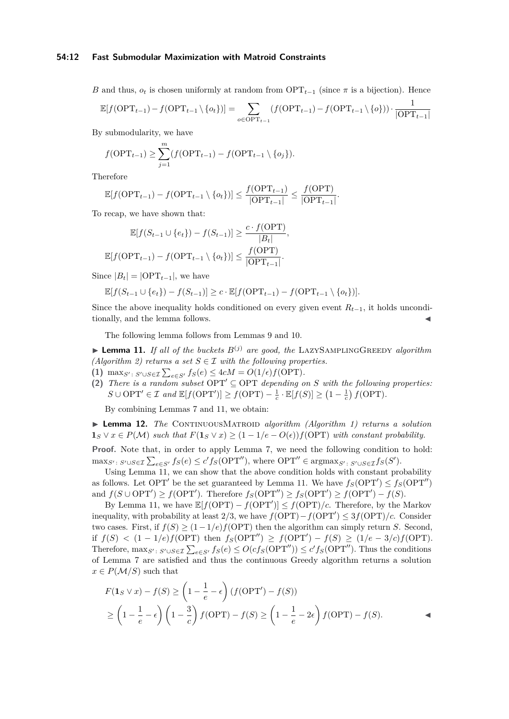#### **54:12 Fast Submodular Maximization with Matroid Constraints**

*B* and thus,  $o_t$  is chosen uniformly at random from  $\text{OPT}_{t-1}$  (since  $\pi$  is a bijection). Hence

$$
\mathbb{E}[f(\mathrm{OPT}_{t-1}) - f(\mathrm{OPT}_{t-1} \setminus \{o_t\})] = \sum_{o \in \mathrm{OPT}_{t-1}} (f(\mathrm{OPT}_{t-1}) - f(\mathrm{OPT}_{t-1} \setminus \{o\})) \cdot \frac{1}{|\mathrm{OPT}_{t-1}|}
$$

By submodularity, we have

$$
f(\mathrm{OPT}_{t-1}) \ge \sum_{j=1}^{m} (f(\mathrm{OPT}_{t-1}) - f(\mathrm{OPT}_{t-1} \setminus \{o_j\}).
$$

Therefore

$$
\mathbb{E}[f(\mathrm{OPT}_{t-1}) - f(\mathrm{OPT}_{t-1} \setminus \{o_t\})] \le \frac{f(\mathrm{OPT}_{t-1})}{|\mathrm{OPT}_{t-1}|} \le \frac{f(\mathrm{OPT})}{|\mathrm{OPT}_{t-1}|}.
$$

To recap, we have shown that:

$$
\mathbb{E}[f(S_{t-1} \cup \{e_t\}) - f(S_{t-1})] \ge \frac{c \cdot f(\text{OPT})}{|B_t|},
$$
  

$$
\mathbb{E}[f(\text{OPT}_{t-1}) - f(\text{OPT}_{t-1} \setminus \{o_t\})] \le \frac{f(\text{OPT})}{|\text{OPT}_{t-1}|}.
$$

Since  $|B_t| = |OPT_{t-1}|$ , we have

$$
\mathbb{E}[f(S_{t-1} \cup \{e_t\}) - f(S_{t-1})] \ge c \cdot \mathbb{E}[f(\mathrm{OPT}_{t-1}) - f(\mathrm{OPT}_{t-1} \setminus \{o_t\})].
$$

Since the above inequality holds conditioned on every given event  $R_{t-1}$ , it holds unconditionally, and the lemma follows.

The following lemma follows from Lemmas [9](#page-9-0) and [10.](#page-10-0)

<span id="page-11-0"></span> $\blacktriangleright$  **Lemma 11.** *If all of the buckets*  $B^{(j)}$  *are good, the* LAZYSAMPLINGGREEDY *algorithm (Algorithm [2\)](#page-7-0) returns a set*  $S \in \mathcal{I}$  *with the following properties.* 

- (1) max $_{S'}: S' \cup S \in \mathcal{I} \sum_{e \in S'} f_S(e) \leq 4cM = O(1/\epsilon) f(\text{OPT}).$
- (2) *There is a random subset*  $OPT' \subseteq OPT$  *depending on S with the following properties:*  $S \cup \text{OPT}' \in \mathcal{I}$  and  $\mathbb{E}[f(\text{OPT}')] \ge f(\text{OPT}) - \frac{1}{c} \cdot \mathbb{E}[f(S)] \ge (1 - \frac{1}{c}) f(\text{OPT})$ .

By combining Lemmas [7](#page-6-1) and [11,](#page-11-0) we obtain:

▶ **Lemma 12.** *The* CONTINUOUSMATROID *algorithm (Algorithm [1\)](#page-6-0) returns a solution*  $\mathbf{1}_S \vee x \in P(\mathcal{M})$  *such that*  $F(\mathbf{1}_S \vee x) \geq (1 - 1/e - O(\epsilon)) f(\text{OPT})$  *with constant probability.* 

Proof. Note that, in order to apply Lemma [7,](#page-6-1) we need the following condition to hold:  $\max_{S': S' \cup S \in \mathcal{I}} \sum_{e \in S'} f_S(e) \le c' f_S(OPT'')$ , where  $OPT'' \in \text{argmax}_{S': S' \cup S \in \mathcal{I}} f_S(S')$ .

Using Lemma [11,](#page-11-0) we can show that the above condition holds with constant probability as follows. Let OPT' be the set guaranteed by Lemma [11.](#page-11-0) We have  $f_S(OPT') \le f_S(OPT'')$ and  $f(S \cup \text{OPT}') \ge f(\text{OPT}')$ . Therefore  $f_S(\text{OPT}'') \ge f_S(\text{OPT}') \ge f(\text{OPT}') - f(S)$ .

By Lemma [11,](#page-11-0) we have  $\mathbb{E}[f(OPT) - f(OPT')] \leq f(OPT)/c$ . Therefore, by the Markov inequality, with probability at least 2/3, we have  $f(OPT) - f(OPT') \leq 3f(OPT)/c$ . Consider two cases. First, if  $f(S) \geq (1 - 1/e)f(OPT)$  then the algorithm can simply return *S*. Second, if  $f(S)$  < (1 − 1/e)*f*(OPT) then  $f_S(OPT'') \ge f(OPT') - f(S) \ge (1/e - 3/c)f(OPT)$ . Therefore,  $\max_{S': S' \cup S \in \mathcal{I}} \sum_{e \in S'} f_S(e) \leq O(c f_S(OPT'')) \leq c' f_S(OPT'').$  Thus the conditions of Lemma [7](#page-6-1) are satisfied and thus the continuous Greedy algorithm returns a solution  $x \in P(\mathcal{M}/S)$  such that

$$
F(\mathbf{1}_S \lor x) - f(S) \ge \left(1 - \frac{1}{e} - \epsilon\right) (f(\text{OPT}') - f(S))
$$
  
 
$$
\ge \left(1 - \frac{1}{e} - \epsilon\right) \left(1 - \frac{3}{c}\right) f(\text{OPT}) - f(S) \ge \left(1 - \frac{1}{e} - 2\epsilon\right) f(\text{OPT}) - f(S).
$$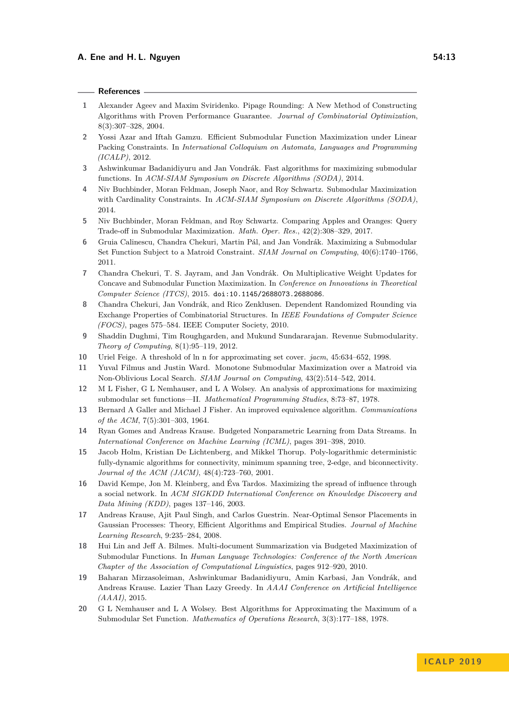#### **References**

- <span id="page-12-4"></span>**1** Alexander Ageev and Maxim Sviridenko. Pipage Rounding: A New Method of Constructing Algorithms with Proven Performance Guarantee. *Journal of Combinatorial Optimization*, 8(3):307–328, 2004.
- <span id="page-12-11"></span>**2** Yossi Azar and Iftah Gamzu. Efficient Submodular Function Maximization under Linear Packing Constraints. In *International Colloquium on Automata, Languages and Programming (ICALP)*, 2012.
- <span id="page-12-13"></span>**3** Ashwinkumar Badanidiyuru and Jan Vondrák. Fast algorithms for maximizing submodular functions. In *ACM-SIAM Symposium on Discrete Algorithms (SODA)*, 2014.
- <span id="page-12-19"></span>**4** Niv Buchbinder, Moran Feldman, Joseph Naor, and Roy Schwartz. Submodular Maximization with Cardinality Constraints. In *ACM-SIAM Symposium on Discrete Algorithms (SODA)*, 2014.
- <span id="page-12-15"></span>**5** Niv Buchbinder, Moran Feldman, and Roy Schwartz. Comparing Apples and Oranges: Query Trade-off in Submodular Maximization. *Math. Oper. Res.*, 42(2):308–329, 2017.
- <span id="page-12-3"></span>**6** Gruia Calinescu, Chandra Chekuri, Martin Pál, and Jan Vondrák. Maximizing a Submodular Set Function Subject to a Matroid Constraint. *SIAM Journal on Computing*, 40(6):1740–1766, 2011.
- <span id="page-12-16"></span>**7** Chandra Chekuri, T. S. Jayram, and Jan Vondrák. On Multiplicative Weight Updates for Concave and Submodular Function Maximization. In *Conference on Innovations in Theoretical Computer Science (ITCS)*, 2015. [doi:10.1145/2688073.2688086](http://dx.doi.org/10.1145/2688073.2688086).
- <span id="page-12-5"></span>**8** Chandra Chekuri, Jan Vondrák, and Rico Zenklusen. Dependent Randomized Rounding via Exchange Properties of Combinatorial Structures. In *IEEE Foundations of Computer Science (FOCS)*, pages 575–584. IEEE Computer Society, 2010.
- <span id="page-12-10"></span>**9** Shaddin Dughmi, Tim Roughgarden, and Mukund Sundararajan. Revenue Submodularity. *Theory of Computing*, 8(1):95–119, 2012.
- <span id="page-12-2"></span>**10** Uriel Feige. A threshold of ln n for approximating set cover. *jacm*, 45:634–652, 1998.
- <span id="page-12-12"></span>**11** Yuval Filmus and Justin Ward. Monotone Submodular Maximization over a Matroid via Non-Oblivious Local Search. *SIAM Journal on Computing*, 43(2):514–542, 2014.
- <span id="page-12-1"></span>**12** M L Fisher, G L Nemhauser, and L A Wolsey. An analysis of approximations for maximizing submodular set functions—II. *Mathematical Programming Studies*, 8:73–87, 1978.
- <span id="page-12-18"></span>**13** Bernard A Galler and Michael J Fisher. An improved equivalence algorithm. *Communications of the ACM*, 7(5):301–303, 1964.
- <span id="page-12-8"></span>**14** Ryan Gomes and Andreas Krause. Budgeted Nonparametric Learning from Data Streams. In *International Conference on Machine Learning (ICML)*, pages 391–398, 2010.
- <span id="page-12-17"></span>**15** Jacob Holm, Kristian De Lichtenberg, and Mikkel Thorup. Poly-logarithmic deterministic fully-dynamic algorithms for connectivity, minimum spanning tree, 2-edge, and biconnectivity. *Journal of the ACM (JACM)*, 48(4):723–760, 2001.
- <span id="page-12-9"></span>**16** David Kempe, Jon M. Kleinberg, and Éva Tardos. Maximizing the spread of influence through a social network. In *ACM SIGKDD International Conference on Knowledge Discovery and Data Mining (KDD)*, pages 137–146, 2003.
- <span id="page-12-7"></span>**17** Andreas Krause, Ajit Paul Singh, and Carlos Guestrin. Near-Optimal Sensor Placements in Gaussian Processes: Theory, Efficient Algorithms and Empirical Studies. *Journal of Machine Learning Research*, 9:235–284, 2008.
- <span id="page-12-6"></span>**18** Hui Lin and Jeff A. Bilmes. Multi-document Summarization via Budgeted Maximization of Submodular Functions. In *Human Language Technologies: Conference of the North American Chapter of the Association of Computational Linguistics*, pages 912–920, 2010.
- <span id="page-12-14"></span>**19** Baharan Mirzasoleiman, Ashwinkumar Badanidiyuru, Amin Karbasi, Jan Vondrák, and Andreas Krause. Lazier Than Lazy Greedy. In *AAAI Conference on Artificial Intelligence (AAAI)*, 2015.
- <span id="page-12-0"></span>**20** G L Nemhauser and L A Wolsey. Best Algorithms for Approximating the Maximum of a Submodular Set Function. *Mathematics of Operations Research*, 3(3):177–188, 1978.